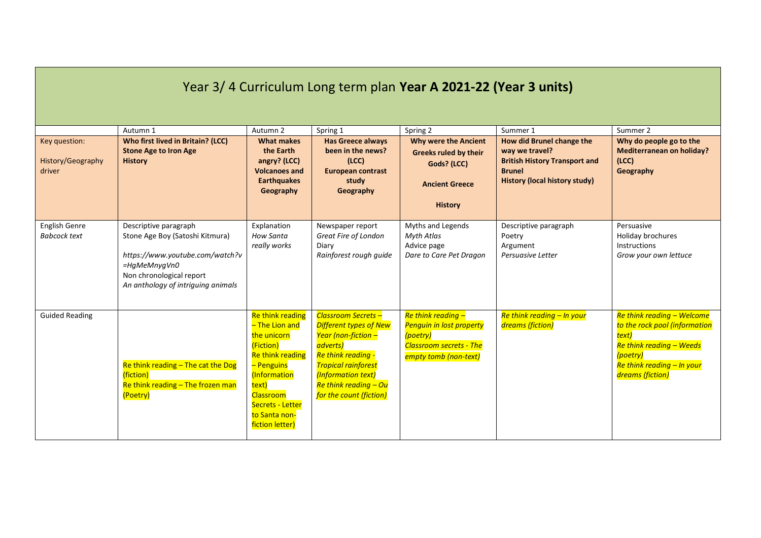| Year 3/4 Curriculum Long term plan Year A 2021-22 (Year 3 units) |                                                                                                                                                                               |                                                                                                                                                                                                              |                                                                                                                                                                                                                       |                                                                                                                                   |                                                                                                                                                          |                                                                                                                                                                       |  |
|------------------------------------------------------------------|-------------------------------------------------------------------------------------------------------------------------------------------------------------------------------|--------------------------------------------------------------------------------------------------------------------------------------------------------------------------------------------------------------|-----------------------------------------------------------------------------------------------------------------------------------------------------------------------------------------------------------------------|-----------------------------------------------------------------------------------------------------------------------------------|----------------------------------------------------------------------------------------------------------------------------------------------------------|-----------------------------------------------------------------------------------------------------------------------------------------------------------------------|--|
| Key question:<br>History/Geography<br>driver                     | Autumn 1<br>Who first lived in Britain? (LCC)<br><b>Stone Age to Iron Age</b><br><b>History</b>                                                                               | Autumn 2<br><b>What makes</b><br>the Earth<br>angry? (LCC)<br><b>Volcanoes and</b><br><b>Earthquakes</b><br>Geography                                                                                        | Spring 1<br><b>Has Greece always</b><br>been in the news?<br>(ICC)<br><b>European contrast</b><br>study<br>Geography                                                                                                  | Spring 2<br><b>Why were the Ancient</b><br><b>Greeks ruled by their</b><br>Gods? (LCC)<br><b>Ancient Greece</b><br><b>History</b> | Summer 1<br>How did Brunel change the<br>way we travel?<br><b>British History Transport and</b><br><b>Brunel</b><br><b>History (local history study)</b> | Summer 2<br>Why do people go to the<br><b>Mediterranean on holiday?</b><br>(ICC)<br>Geography                                                                         |  |
| English Genre<br><b>Babcock text</b>                             | Descriptive paragraph<br>Stone Age Boy (Satoshi Kitmura)<br>https://www.youtube.com/watch?v<br>=HqMeMnyqVn0<br>Non chronological report<br>An anthology of intriguing animals | Explanation<br>How Santa<br>really works                                                                                                                                                                     | Newspaper report<br>Great Fire of London<br>Diary<br>Rainforest rough guide                                                                                                                                           | Myths and Legends<br>Myth Atlas<br>Advice page<br>Dare to Care Pet Dragon                                                         | Descriptive paragraph<br>Poetry<br>Argument<br>Persuasive Letter                                                                                         | Persuasive<br>Holiday brochures<br>Instructions<br>Grow your own lettuce                                                                                              |  |
| <b>Guided Reading</b>                                            | Re think reading $-$ The cat the Dog<br><i>(fiction)</i><br>Re think reading - The frozen man<br>(Poetry)                                                                     | Re think reading<br>- The Lion and<br>the unicorn<br>(Fiction)<br><b>Re think reading</b><br>- Penguins<br>(Information<br>text)<br><b>Classroom</b><br>Secrets - Letter<br>to Santa non-<br>fiction letter) | Classroom Secrets -<br><b>Different types of New</b><br>Year (non-fiction -<br>adverts)<br>Re think reading -<br><b>Tropical rainforest</b><br>(Information text)<br>Re think reading - Ou<br>for the count (fiction) | Re think reading -<br><b>Penguin in lost property</b><br>(poetry)<br><b>Classroom secrets - The</b><br>empty tomb (non-text)      | Re think reading - In your<br>dreams (fiction)                                                                                                           | Re think reading - Welcome<br>to the rock pool (information<br>text)<br><b>Re think reading - Weeds</b><br>(poetry)<br>Re think reading - In your<br>dreams (fiction) |  |

**Contract Contract Contract Contract**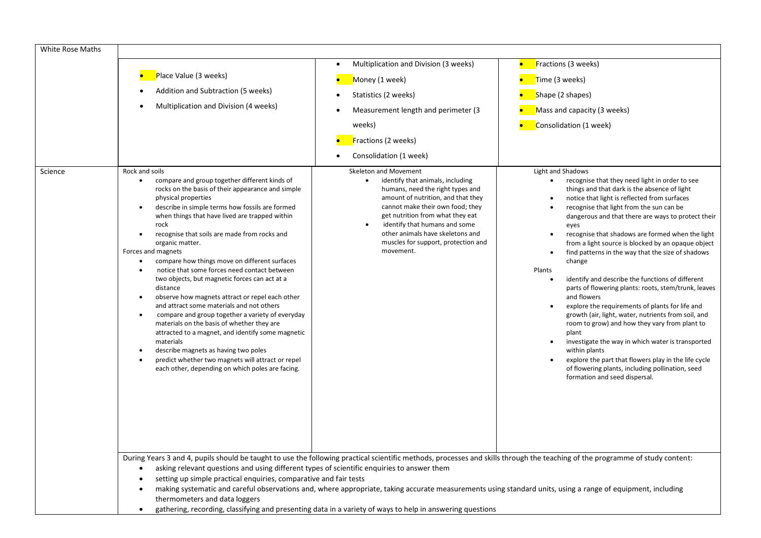| <b>White Rose Maths</b> | Place Value (3 weeks)<br>$\bullet$<br>Addition and Subtraction (5 weeks)<br>Multiplication and Division (4 weeks)<br>$\bullet$                                                                                                                                                                                                                                                                                                                                                                                                                                                                                                                                                                                                                                                                                                                                                                                                                                                                                                                                                                                                                                                                                                             | Multiplication and Division (3 weeks)<br>Money (1 week)<br>Statistics (2 weeks)<br>Measurement length and perimeter (3<br>weeks)<br>Fractions (2 weeks)<br>Consolidation (1 week)                                                                                                                                                                 | Fractions (3 weeks)<br>Time (3 weeks)<br>Shape (2 shapes)<br>Mass and capacity (3 weeks)<br>Consolidation (1 week)                                                                                                                                                                                                                                                                                                                                                                                                                                                                                                                                                                                                                                                                                                                                                                                                                                                                                                                                               |  |  |  |  |
|-------------------------|--------------------------------------------------------------------------------------------------------------------------------------------------------------------------------------------------------------------------------------------------------------------------------------------------------------------------------------------------------------------------------------------------------------------------------------------------------------------------------------------------------------------------------------------------------------------------------------------------------------------------------------------------------------------------------------------------------------------------------------------------------------------------------------------------------------------------------------------------------------------------------------------------------------------------------------------------------------------------------------------------------------------------------------------------------------------------------------------------------------------------------------------------------------------------------------------------------------------------------------------|---------------------------------------------------------------------------------------------------------------------------------------------------------------------------------------------------------------------------------------------------------------------------------------------------------------------------------------------------|------------------------------------------------------------------------------------------------------------------------------------------------------------------------------------------------------------------------------------------------------------------------------------------------------------------------------------------------------------------------------------------------------------------------------------------------------------------------------------------------------------------------------------------------------------------------------------------------------------------------------------------------------------------------------------------------------------------------------------------------------------------------------------------------------------------------------------------------------------------------------------------------------------------------------------------------------------------------------------------------------------------------------------------------------------------|--|--|--|--|
| Science                 | Rock and soils<br>compare and group together different kinds of<br>$\bullet$<br>rocks on the basis of their appearance and simple<br>physical properties<br>describe in simple terms how fossils are formed<br>$\bullet$<br>when things that have lived are trapped within<br>rock<br>recognise that soils are made from rocks and<br>$\bullet$<br>organic matter.<br>Forces and magnets<br>compare how things move on different surfaces<br>$\bullet$<br>notice that some forces need contact between<br>$\bullet$<br>two objects, but magnetic forces can act at a<br>distance<br>observe how magnets attract or repel each other<br>$\bullet$<br>and attract some materials and not others<br>compare and group together a variety of everyday<br>$\bullet$<br>materials on the basis of whether they are<br>attracted to a magnet, and identify some magnetic<br>materials<br>describe magnets as having two poles<br>$\bullet$<br>predict whether two magnets will attract or repel<br>$\bullet$<br>each other, depending on which poles are facing.<br>During Years 3 and 4, pupils should be taught to use the following practical scientific methods, processes and skills through the teaching of the programme of study content: | Skeleton and Movement<br>identify that animals, including<br>humans, need the right types and<br>amount of nutrition, and that they<br>cannot make their own food; they<br>get nutrition from what they eat<br>identify that humans and some<br>$\bullet$<br>other animals have skeletons and<br>muscles for support, protection and<br>movement. | Light and Shadows<br>recognise that they need light in order to see<br>things and that dark is the absence of light<br>notice that light is reflected from surfaces<br>$\bullet$<br>recognise that light from the sun can be<br>$\bullet$<br>dangerous and that there are ways to protect their<br>eyes<br>recognise that shadows are formed when the light<br>$\bullet$<br>from a light source is blocked by an opaque object<br>find patterns in the way that the size of shadows<br>$\bullet$<br>change<br>Plants<br>identify and describe the functions of different<br>parts of flowering plants: roots, stem/trunk, leaves<br>and flowers<br>explore the requirements of plants for life and<br>$\bullet$<br>growth (air, light, water, nutrients from soil, and<br>room to grow) and how they vary from plant to<br>plant<br>investigate the way in which water is transported<br>$\bullet$<br>within plants<br>explore the part that flowers play in the life cycle<br>of flowering plants, including pollination, seed<br>formation and seed dispersal. |  |  |  |  |
|                         | asking relevant questions and using different types of scientific enquiries to answer them<br>$\bullet$<br>setting up simple practical enquiries, comparative and fair tests<br>$\bullet$                                                                                                                                                                                                                                                                                                                                                                                                                                                                                                                                                                                                                                                                                                                                                                                                                                                                                                                                                                                                                                                  |                                                                                                                                                                                                                                                                                                                                                   |                                                                                                                                                                                                                                                                                                                                                                                                                                                                                                                                                                                                                                                                                                                                                                                                                                                                                                                                                                                                                                                                  |  |  |  |  |

- making systematic and careful observations and, where appropriate, taking accurate measurements using standard units, using a range of equipment, including thermometers and data loggers
- gathering, recording, classifying and presenting data in a variety of ways to help in answering questions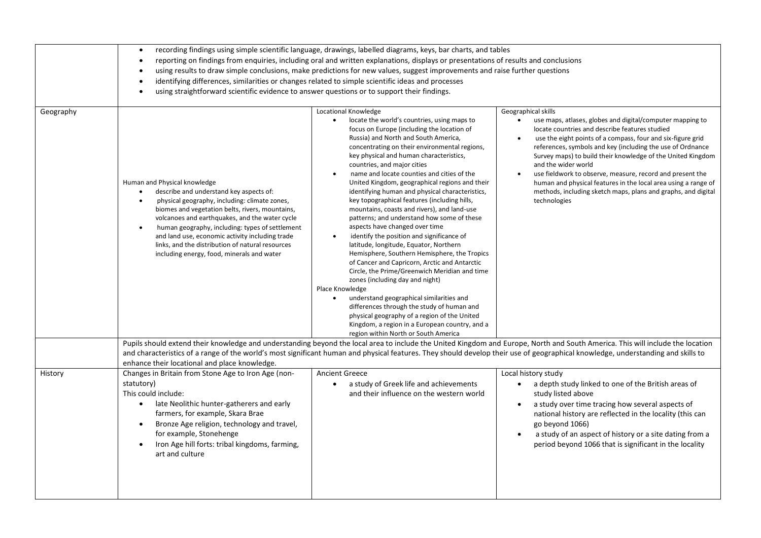|           | recording findings using simple scientific language, drawings, labelled diagrams, keys, bar charts, and tables<br>reporting on findings from enquiries, including oral and written explanations, displays or presentations of results and conclusions<br>using results to draw simple conclusions, make predictions for new values, suggest improvements and raise further questions<br>$\bullet$<br>identifying differences, similarities or changes related to simple scientific ideas and processes<br>$\bullet$<br>using straightforward scientific evidence to answer questions or to support their findings. |                                                                                                                                                                                                                                                                                                                                                                                                                                                                                                                                                                                                                                                                                                                                                                                                                                                                                                                                                                                                                                                                                                                                                                                                  |                                                                                                                                                                                                                                                                                                                                                                                                                                                                                                                                                                                                              |  |  |  |  |
|-----------|--------------------------------------------------------------------------------------------------------------------------------------------------------------------------------------------------------------------------------------------------------------------------------------------------------------------------------------------------------------------------------------------------------------------------------------------------------------------------------------------------------------------------------------------------------------------------------------------------------------------|--------------------------------------------------------------------------------------------------------------------------------------------------------------------------------------------------------------------------------------------------------------------------------------------------------------------------------------------------------------------------------------------------------------------------------------------------------------------------------------------------------------------------------------------------------------------------------------------------------------------------------------------------------------------------------------------------------------------------------------------------------------------------------------------------------------------------------------------------------------------------------------------------------------------------------------------------------------------------------------------------------------------------------------------------------------------------------------------------------------------------------------------------------------------------------------------------|--------------------------------------------------------------------------------------------------------------------------------------------------------------------------------------------------------------------------------------------------------------------------------------------------------------------------------------------------------------------------------------------------------------------------------------------------------------------------------------------------------------------------------------------------------------------------------------------------------------|--|--|--|--|
| Geography | Human and Physical knowledge<br>describe and understand key aspects of:<br>$\bullet$<br>physical geography, including: climate zones,<br>$\bullet$<br>biomes and vegetation belts, rivers, mountains,<br>volcanoes and earthquakes, and the water cycle<br>human geography, including: types of settlement<br>and land use, economic activity including trade<br>links, and the distribution of natural resources<br>including energy, food, minerals and water                                                                                                                                                    | Locational Knowledge<br>locate the world's countries, using maps to<br>$\bullet$<br>focus on Europe (including the location of<br>Russia) and North and South America,<br>concentrating on their environmental regions,<br>key physical and human characteristics,<br>countries, and major cities<br>name and locate counties and cities of the<br>$\bullet$<br>United Kingdom, geographical regions and their<br>identifying human and physical characteristics,<br>key topographical features (including hills,<br>mountains, coasts and rivers), and land-use<br>patterns; and understand how some of these<br>aspects have changed over time<br>identify the position and significance of<br>$\bullet$<br>latitude, longitude, Equator, Northern<br>Hemisphere, Southern Hemisphere, the Tropics<br>of Cancer and Capricorn, Arctic and Antarctic<br>Circle, the Prime/Greenwich Meridian and time<br>zones (including day and night)<br>Place Knowledge<br>understand geographical similarities and<br>differences through the study of human and<br>physical geography of a region of the United<br>Kingdom, a region in a European country, and a<br>region within North or South America | Geographical skills<br>use maps, atlases, globes and digital/computer mapping to<br>$\bullet$<br>locate countries and describe features studied<br>use the eight points of a compass, four and six-figure grid<br>$\bullet$<br>references, symbols and key (including the use of Ordnance<br>Survey maps) to build their knowledge of the United Kingdom<br>and the wider world<br>use fieldwork to observe, measure, record and present the<br>$\bullet$<br>human and physical features in the local area using a range of<br>methods, including sketch maps, plans and graphs, and digital<br>technologies |  |  |  |  |
|           | enhance their locational and place knowledge.                                                                                                                                                                                                                                                                                                                                                                                                                                                                                                                                                                      |                                                                                                                                                                                                                                                                                                                                                                                                                                                                                                                                                                                                                                                                                                                                                                                                                                                                                                                                                                                                                                                                                                                                                                                                  | Pupils should extend their knowledge and understanding beyond the local area to include the United Kingdom and Europe, North and South America. This will include the location<br>and characteristics of a range of the world's most significant human and physical features. They should develop their use of geographical knowledge, understanding and skills to                                                                                                                                                                                                                                           |  |  |  |  |
| History   | Changes in Britain from Stone Age to Iron Age (non-<br>statutory)<br>This could include:<br>late Neolithic hunter-gatherers and early<br>$\bullet$<br>farmers, for example, Skara Brae<br>Bronze Age religion, technology and travel,<br>$\bullet$<br>for example, Stonehenge<br>Iron Age hill forts: tribal kingdoms, farming,<br>art and culture                                                                                                                                                                                                                                                                 | <b>Ancient Greece</b><br>a study of Greek life and achievements<br>$\bullet$<br>and their influence on the western world                                                                                                                                                                                                                                                                                                                                                                                                                                                                                                                                                                                                                                                                                                                                                                                                                                                                                                                                                                                                                                                                         | Local history study<br>a depth study linked to one of the British areas of<br>$\bullet$<br>study listed above<br>a study over time tracing how several aspects of<br>$\bullet$<br>national history are reflected in the locality (this can<br>go beyond 1066)<br>a study of an aspect of history or a site dating from a<br>period beyond 1066 that is significant in the locality                                                                                                                                                                                                                           |  |  |  |  |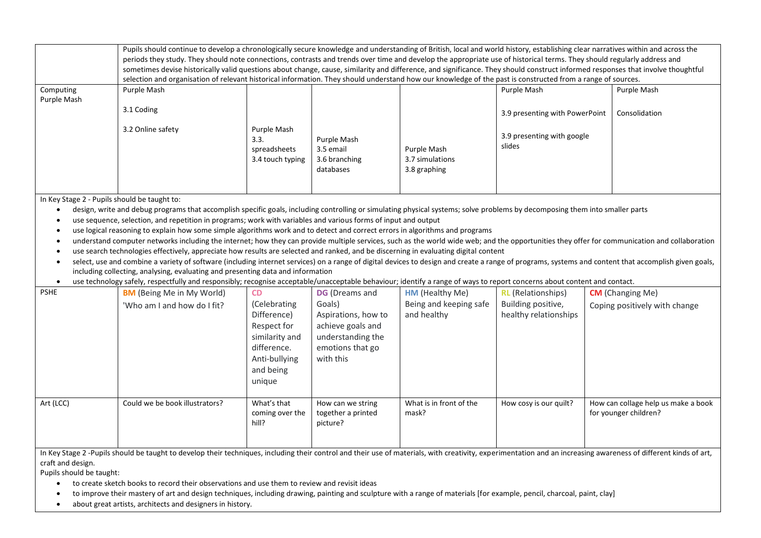|             | Pupils should continue to develop a chronologically secure knowledge and understanding of British, local and world history, establishing clear narratives within and across the<br>periods they study. They should note connections, contrasts and trends over time and develop the appropriate use of historical terms. They should regularly address and<br>sometimes devise historically valid questions about change, cause, similarity and difference, and significance. They should construct informed responses that involve thoughtful<br>selection and organisation of relevant historical information. They should understand how our knowledge of the past is constructed from a range of sources. |                                                         |                                                        |                                                |                                      |             |  |  |  |
|-------------|---------------------------------------------------------------------------------------------------------------------------------------------------------------------------------------------------------------------------------------------------------------------------------------------------------------------------------------------------------------------------------------------------------------------------------------------------------------------------------------------------------------------------------------------------------------------------------------------------------------------------------------------------------------------------------------------------------------|---------------------------------------------------------|--------------------------------------------------------|------------------------------------------------|--------------------------------------|-------------|--|--|--|
| Computing   | Purple Mash                                                                                                                                                                                                                                                                                                                                                                                                                                                                                                                                                                                                                                                                                                   |                                                         |                                                        |                                                | Purple Mash                          | Purple Mash |  |  |  |
| Purple Mash |                                                                                                                                                                                                                                                                                                                                                                                                                                                                                                                                                                                                                                                                                                               |                                                         |                                                        |                                                |                                      |             |  |  |  |
|             | 3.1 Coding<br>Consolidation<br>3.9 presenting with PowerPoint                                                                                                                                                                                                                                                                                                                                                                                                                                                                                                                                                                                                                                                 |                                                         |                                                        |                                                |                                      |             |  |  |  |
|             | 3.2 Online safety                                                                                                                                                                                                                                                                                                                                                                                                                                                                                                                                                                                                                                                                                             | Purple Mash<br>3.3.<br>spreadsheets<br>3.4 touch typing | Purple Mash<br>3.5 email<br>3.6 branching<br>databases | Purple Mash<br>3.7 simulations<br>3.8 graphing | 3.9 presenting with google<br>slides |             |  |  |  |

In Key Stage 2 - Pupils should be taught to:

• design, write and debug programs that accomplish specific goals, including controlling or simulating physical systems; solve problems by decomposing them into smaller parts

• use sequence, selection, and repetition in programs; work with variables and various forms of input and output

• use logical reasoning to explain how some simple algorithms work and to detect and correct errors in algorithms and programs

• understand computer networks including the internet; how they can provide multiple services, such as the world wide web; and the opportunities they offer for communication and collaboration

• use search technologies effectively, appreciate how results are selected and ranked, and be discerning in evaluating digital content

• select, use and combine a variety of software (including internet services) on a range of digital devices to design and create a range of programs, systems and content that accomplish given goals, including collecting, analysing, evaluating and presenting data and information

• use technology safely, respectfully and responsibly; recognise acceptable/unacceptable behaviour; identify a range of ways to report concerns about content and contact.

| <b>PSHE</b> | <b>BM</b> (Being Me in My World) | CD                                      | <b>DG</b> (Dreams and                               | <b>HM</b> (Healthy Me)           | <b>RL</b> (Relationships) | <b>CM</b> (Changing Me)                                      |
|-------------|----------------------------------|-----------------------------------------|-----------------------------------------------------|----------------------------------|---------------------------|--------------------------------------------------------------|
|             | 'Who am I and how do I fit?      | (Celebrating                            | Goals)                                              | Being and keeping safe           | Building positive,        | Coping positively with change                                |
|             |                                  | Difference)                             | Aspirations, how to                                 | and healthy                      | healthy relationships     |                                                              |
|             |                                  | Respect for                             | achieve goals and                                   |                                  |                           |                                                              |
|             |                                  | similarity and                          | understanding the                                   |                                  |                           |                                                              |
|             |                                  | difference.                             | emotions that go                                    |                                  |                           |                                                              |
|             |                                  | Anti-bullying<br>and being              | with this                                           |                                  |                           |                                                              |
|             |                                  | unique                                  |                                                     |                                  |                           |                                                              |
|             |                                  |                                         |                                                     |                                  |                           |                                                              |
| Art (LCC)   | Could we be book illustrators?   | What's that<br>coming over the<br>hill? | How can we string<br>together a printed<br>picture? | What is in front of the<br>mask? | How cosy is our quilt?    | How can collage help us make a book<br>for younger children? |
|             |                                  |                                         |                                                     |                                  |                           |                                                              |

In Key Stage 2 -Pupils should be taught to develop their techniques, including their control and their use of materials, with creativity, experimentation and an increasing awareness of different kinds of art, craft and design.

Pupils should be taught:

- to create sketch books to record their observations and use them to review and revisit ideas
- to improve their mastery of art and design techniques, including drawing, painting and sculpture with a range of materials [for example, pencil, charcoal, paint, clay]
- about great artists, architects and designers in history.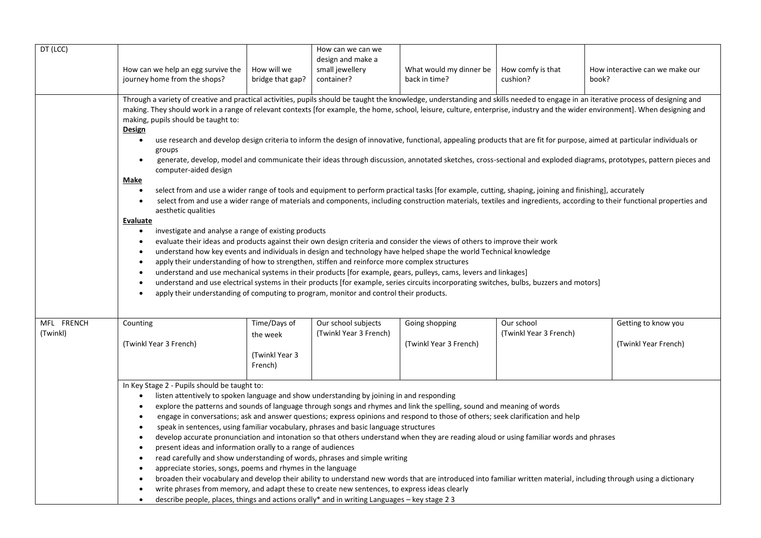| DT (LCC)               | How can we help an egg survive the<br>journey home from the shops?                                                                                                                                                                                                                                                                                                                                                                                                                                                                                                                                                                                                                                                                                                                                                                                                                                                                                                                                                                                                                                                                                                                                                                                                                                                                                                                                                                                                                                                                                                                                                                                                                                                                                                                                                                                                                                                                                                                                                                                                                                                            | How will we<br>bridge that gap?                        | How can we can we<br>design and make a<br>small jewellery<br>container? | What would my dinner be<br>back in time? | How comfy is that<br>cushion?        | How interactive can we make our<br>book?    |
|------------------------|-------------------------------------------------------------------------------------------------------------------------------------------------------------------------------------------------------------------------------------------------------------------------------------------------------------------------------------------------------------------------------------------------------------------------------------------------------------------------------------------------------------------------------------------------------------------------------------------------------------------------------------------------------------------------------------------------------------------------------------------------------------------------------------------------------------------------------------------------------------------------------------------------------------------------------------------------------------------------------------------------------------------------------------------------------------------------------------------------------------------------------------------------------------------------------------------------------------------------------------------------------------------------------------------------------------------------------------------------------------------------------------------------------------------------------------------------------------------------------------------------------------------------------------------------------------------------------------------------------------------------------------------------------------------------------------------------------------------------------------------------------------------------------------------------------------------------------------------------------------------------------------------------------------------------------------------------------------------------------------------------------------------------------------------------------------------------------------------------------------------------------|--------------------------------------------------------|-------------------------------------------------------------------------|------------------------------------------|--------------------------------------|---------------------------------------------|
|                        | Through a variety of creative and practical activities, pupils should be taught the knowledge, understanding and skills needed to engage in an iterative process of designing and<br>making. They should work in a range of relevant contexts [for example, the home, school, leisure, culture, enterprise, industry and the wider environment]. When designing and<br>making, pupils should be taught to:<br><b>Design</b><br>use research and develop design criteria to inform the design of innovative, functional, appealing products that are fit for purpose, aimed at particular individuals or<br>$\bullet$<br>groups<br>generate, develop, model and communicate their ideas through discussion, annotated sketches, cross-sectional and exploded diagrams, prototypes, pattern pieces and<br>$\bullet$<br>computer-aided design<br><b>Make</b><br>select from and use a wider range of tools and equipment to perform practical tasks [for example, cutting, shaping, joining and finishing], accurately<br>$\bullet$<br>select from and use a wider range of materials and components, including construction materials, textiles and ingredients, according to their functional properties and<br>$\bullet$<br>aesthetic qualities<br>Evaluate<br>investigate and analyse a range of existing products<br>$\bullet$<br>evaluate their ideas and products against their own design criteria and consider the views of others to improve their work<br>$\bullet$<br>understand how key events and individuals in design and technology have helped shape the world Technical knowledge<br>$\bullet$<br>apply their understanding of how to strengthen, stiffen and reinforce more complex structures<br>$\bullet$<br>understand and use mechanical systems in their products [for example, gears, pulleys, cams, levers and linkages]<br>$\bullet$<br>understand and use electrical systems in their products [for example, series circuits incorporating switches, bulbs, buzzers and motors]<br>$\bullet$<br>apply their understanding of computing to program, monitor and control their products.<br>$\bullet$ |                                                        |                                                                         |                                          |                                      |                                             |
| MFL FRENCH<br>(Twinkl) | Counting<br>(Twinkl Year 3 French)                                                                                                                                                                                                                                                                                                                                                                                                                                                                                                                                                                                                                                                                                                                                                                                                                                                                                                                                                                                                                                                                                                                                                                                                                                                                                                                                                                                                                                                                                                                                                                                                                                                                                                                                                                                                                                                                                                                                                                                                                                                                                            | Time/Days of<br>the week<br>(Twinkl Year 3)<br>French) | Our school subjects<br>(Twinkl Year 3 French)                           | Going shopping<br>(Twinkl Year 3 French) | Our school<br>(Twinkl Year 3 French) | Getting to know you<br>(Twinkl Year French) |
|                        | In Key Stage 2 - Pupils should be taught to:<br>listen attentively to spoken language and show understanding by joining in and responding<br>$\bullet$<br>explore the patterns and sounds of language through songs and rhymes and link the spelling, sound and meaning of words<br>$\bullet$<br>engage in conversations; ask and answer questions; express opinions and respond to those of others; seek clarification and help<br>$\bullet$<br>speak in sentences, using familiar vocabulary, phrases and basic language structures<br>$\bullet$<br>develop accurate pronunciation and intonation so that others understand when they are reading aloud or using familiar words and phrases<br>$\bullet$<br>present ideas and information orally to a range of audiences<br>$\bullet$<br>read carefully and show understanding of words, phrases and simple writing<br>$\bullet$<br>appreciate stories, songs, poems and rhymes in the language<br>$\bullet$<br>broaden their vocabulary and develop their ability to understand new words that are introduced into familiar written material, including through using a dictionary<br>$\bullet$<br>write phrases from memory, and adapt these to create new sentences, to express ideas clearly<br>$\bullet$<br>describe people, places, things and actions orally* and in writing Languages - key stage 23<br>$\bullet$                                                                                                                                                                                                                                                                                                                                                                                                                                                                                                                                                                                                                                                                                                                                                   |                                                        |                                                                         |                                          |                                      |                                             |